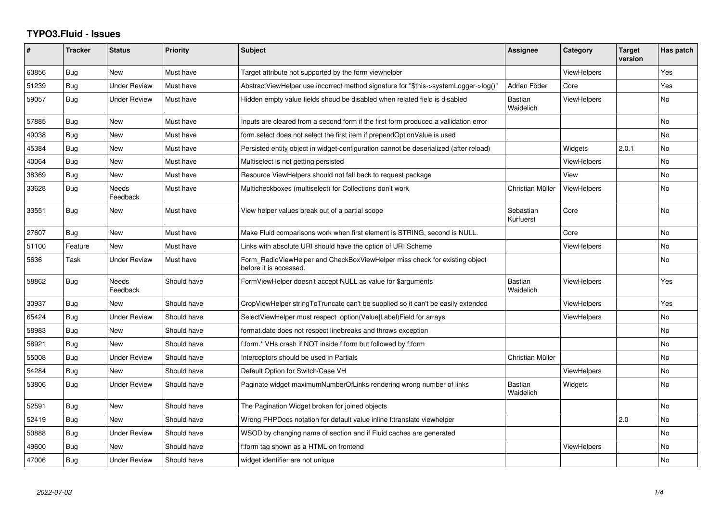## **TYPO3.Fluid - Issues**

| ∦     | <b>Tracker</b> | <b>Status</b>       | <b>Priority</b> | <b>Subject</b>                                                                                       | Assignee                    | Category           | <b>Target</b><br>version | Has patch      |
|-------|----------------|---------------------|-----------------|------------------------------------------------------------------------------------------------------|-----------------------------|--------------------|--------------------------|----------------|
| 60856 | Bug            | <b>New</b>          | Must have       | Target attribute not supported by the form viewhelper                                                |                             | ViewHelpers        |                          | Yes            |
| 51239 | Bug            | Under Review        | Must have       | AbstractViewHelper use incorrect method signature for "\$this->systemLogger->log()"                  | Adrian Föder                | Core               |                          | Yes            |
| 59057 | Bug            | <b>Under Review</b> | Must have       | Hidden empty value fields shoud be disabled when related field is disabled                           | Bastian<br>Waidelich        | <b>ViewHelpers</b> |                          | <b>No</b>      |
| 57885 | Bug            | <b>New</b>          | Must have       | Inputs are cleared from a second form if the first form produced a vallidation error                 |                             |                    |                          | <b>No</b>      |
| 49038 | Bug            | New                 | Must have       | form select does not select the first item if prependOptionValue is used                             |                             |                    |                          | <b>No</b>      |
| 45384 | Bug            | <b>New</b>          | Must have       | Persisted entity object in widget-configuration cannot be deserialized (after reload)                |                             | Widgets            | 2.0.1                    | No             |
| 40064 | Bug            | New                 | Must have       | Multiselect is not getting persisted                                                                 |                             | ViewHelpers        |                          | <b>No</b>      |
| 38369 | Bug            | New                 | Must have       | Resource ViewHelpers should not fall back to request package                                         |                             | View               |                          | N <sub>o</sub> |
| 33628 | Bug            | Needs<br>Feedback   | Must have       | Multicheckboxes (multiselect) for Collections don't work                                             | Christian Müller            | <b>ViewHelpers</b> |                          | <b>No</b>      |
| 33551 | Bug            | New                 | Must have       | View helper values break out of a partial scope                                                      | Sebastian<br>Kurfuerst      | Core               |                          | <b>No</b>      |
| 27607 | Bug            | New                 | Must have       | Make Fluid comparisons work when first element is STRING, second is NULL.                            |                             | Core               |                          | <b>No</b>      |
| 51100 | Feature        | New                 | Must have       | Links with absolute URI should have the option of URI Scheme                                         |                             | <b>ViewHelpers</b> |                          | No             |
| 5636  | Task           | <b>Under Review</b> | Must have       | Form_RadioViewHelper and CheckBoxViewHelper miss check for existing object<br>before it is accessed. |                             |                    |                          | <b>No</b>      |
| 58862 | Bug            | Needs<br>Feedback   | Should have     | FormViewHelper doesn't accept NULL as value for \$arguments                                          | <b>Bastian</b><br>Waidelich | <b>ViewHelpers</b> |                          | Yes            |
| 30937 | Bug            | New                 | Should have     | CropViewHelper stringToTruncate can't be supplied so it can't be easily extended                     |                             | <b>ViewHelpers</b> |                          | Yes            |
| 65424 | Bug            | Under Review        | Should have     | SelectViewHelper must respect option(Value Label)Field for arrays                                    |                             | <b>ViewHelpers</b> |                          | No             |
| 58983 | <b>Bug</b>     | New                 | Should have     | format.date does not respect linebreaks and throws exception                                         |                             |                    |                          | <b>No</b>      |
| 58921 | Bug            | New                 | Should have     | f:form.* VHs crash if NOT inside f:form but followed by f:form                                       |                             |                    |                          | <b>No</b>      |
| 55008 | Bug            | <b>Under Review</b> | Should have     | Interceptors should be used in Partials                                                              | Christian Müller            |                    |                          | No             |
| 54284 | Bug            | <b>New</b>          | Should have     | Default Option for Switch/Case VH                                                                    |                             | <b>ViewHelpers</b> |                          | <b>No</b>      |
| 53806 | <b>Bug</b>     | Under Review        | Should have     | Paginate widget maximumNumberOfLinks rendering wrong number of links                                 | <b>Bastian</b><br>Waidelich | Widgets            |                          | <b>No</b>      |
| 52591 | Bug            | <b>New</b>          | Should have     | The Pagination Widget broken for joined objects                                                      |                             |                    |                          | <b>No</b>      |
| 52419 | <b>Bug</b>     | New                 | Should have     | Wrong PHPDocs notation for default value inline f:translate viewhelper                               |                             |                    | 2.0                      | No             |
| 50888 | Bug            | <b>Under Review</b> | Should have     | WSOD by changing name of section and if Fluid caches are generated                                   |                             |                    |                          | <b>No</b>      |
| 49600 | Bug            | New                 | Should have     | f:form tag shown as a HTML on frontend                                                               |                             | <b>ViewHelpers</b> |                          | No             |
| 47006 | <b>Bug</b>     | <b>Under Review</b> | Should have     | widget identifier are not unique                                                                     |                             |                    |                          | No             |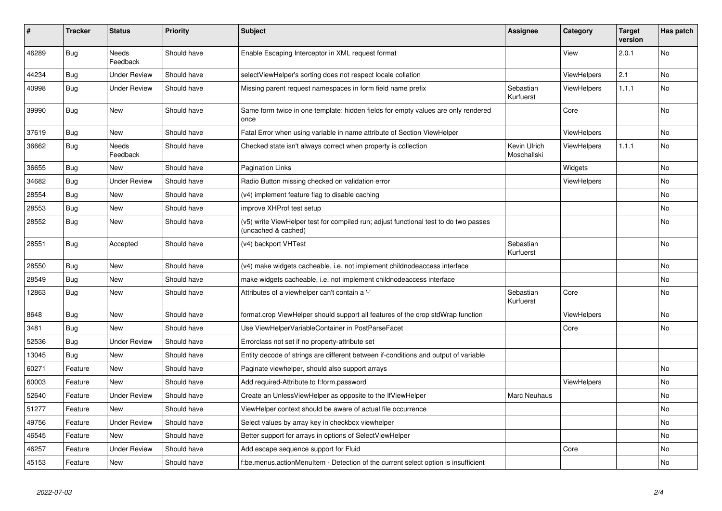| ∦     | <b>Tracker</b> | <b>Status</b>            | <b>Priority</b> | <b>Subject</b>                                                                                              | <b>Assignee</b>             | Category           | <b>Target</b><br>version | Has patch |
|-------|----------------|--------------------------|-----------------|-------------------------------------------------------------------------------------------------------------|-----------------------------|--------------------|--------------------------|-----------|
| 46289 | <b>Bug</b>     | Needs<br>Feedback        | Should have     | Enable Escaping Interceptor in XML request format                                                           |                             | View               | 2.0.1                    | No        |
| 44234 | Bug            | <b>Under Review</b>      | Should have     | selectViewHelper's sorting does not respect locale collation                                                |                             | ViewHelpers        | 2.1                      | No        |
| 40998 | <b>Bug</b>     | <b>Under Review</b>      | Should have     | Missing parent request namespaces in form field name prefix                                                 | Sebastian<br>Kurfuerst      | ViewHelpers        | 1.1.1                    | No        |
| 39990 | Bug            | New                      | Should have     | Same form twice in one template: hidden fields for empty values are only rendered<br>once                   |                             | Core               |                          | No        |
| 37619 | Bug            | New                      | Should have     | Fatal Error when using variable in name attribute of Section ViewHelper                                     |                             | <b>ViewHelpers</b> |                          | No        |
| 36662 | Bug            | <b>Needs</b><br>Feedback | Should have     | Checked state isn't always correct when property is collection                                              | Kevin Ulrich<br>Moschallski | ViewHelpers        | 1.1.1                    | No        |
| 36655 | Bug            | New                      | Should have     | Pagination Links                                                                                            |                             | Widgets            |                          | No        |
| 34682 | Bug            | <b>Under Review</b>      | Should have     | Radio Button missing checked on validation error                                                            |                             | <b>ViewHelpers</b> |                          | No        |
| 28554 | Bug            | New                      | Should have     | (v4) implement feature flag to disable caching                                                              |                             |                    |                          | No        |
| 28553 | Bug            | New                      | Should have     | improve XHProf test setup                                                                                   |                             |                    |                          | No.       |
| 28552 | Bug            | New                      | Should have     | (v5) write ViewHelper test for compiled run; adjust functional test to do two passes<br>(uncached & cached) |                             |                    |                          | No        |
| 28551 | Bug            | Accepted                 | Should have     | (v4) backport VHTest                                                                                        | Sebastian<br>Kurfuerst      |                    |                          | No        |
| 28550 | Bug            | <b>New</b>               | Should have     | (v4) make widgets cacheable, i.e. not implement childnodeaccess interface                                   |                             |                    |                          | No        |
| 28549 | <b>Bug</b>     | New                      | Should have     | make widgets cacheable, i.e. not implement childnodeaccess interface                                        |                             |                    |                          | No        |
| 12863 | Bug            | New                      | Should have     | Attributes of a viewhelper can't contain a '-'                                                              | Sebastian<br>Kurfuerst      | Core               |                          | No        |
| 8648  | Bug            | <b>New</b>               | Should have     | format.crop ViewHelper should support all features of the crop stdWrap function                             |                             | ViewHelpers        |                          | No        |
| 3481  | Bug            | New                      | Should have     | Use ViewHelperVariableContainer in PostParseFacet                                                           |                             | Core               |                          | No        |
| 52536 | <b>Bug</b>     | <b>Under Review</b>      | Should have     | Errorclass not set if no property-attribute set                                                             |                             |                    |                          |           |
| 13045 | Bug            | New                      | Should have     | Entity decode of strings are different between if-conditions and output of variable                         |                             |                    |                          |           |
| 60271 | Feature        | New                      | Should have     | Paginate viewhelper, should also support arrays                                                             |                             |                    |                          | No        |
| 60003 | Feature        | New                      | Should have     | Add required-Attribute to f:form.password                                                                   |                             | ViewHelpers        |                          | No.       |
| 52640 | Feature        | <b>Under Review</b>      | Should have     | Create an UnlessViewHelper as opposite to the IfViewHelper                                                  | Marc Neuhaus                |                    |                          | No        |
| 51277 | Feature        | New                      | Should have     | ViewHelper context should be aware of actual file occurrence                                                |                             |                    |                          | No        |
| 49756 | Feature        | <b>Under Review</b>      | Should have     | Select values by array key in checkbox viewhelper                                                           |                             |                    |                          | No        |
| 46545 | Feature        | New                      | Should have     | Better support for arrays in options of SelectViewHelper                                                    |                             |                    |                          | No        |
| 46257 | Feature        | <b>Under Review</b>      | Should have     | Add escape sequence support for Fluid                                                                       |                             | Core               |                          | No        |
| 45153 | Feature        | New                      | Should have     | f:be.menus.actionMenuItem - Detection of the current select option is insufficient                          |                             |                    |                          | No        |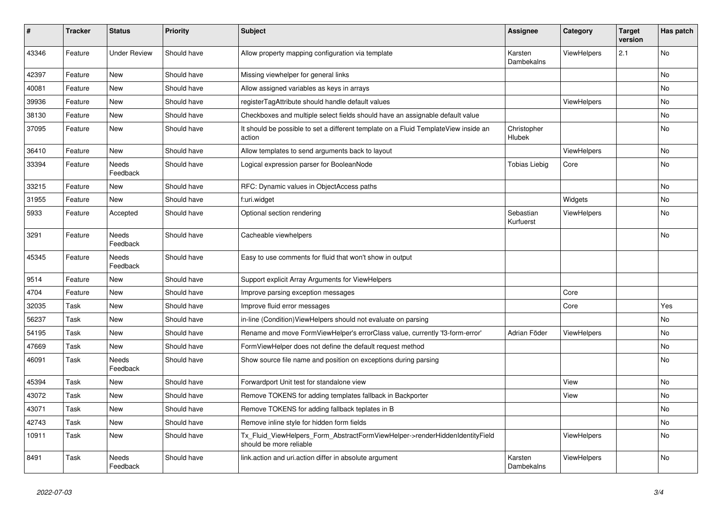| #     | <b>Tracker</b> | <b>Status</b>       | <b>Priority</b> | <b>Subject</b>                                                                                         | <b>Assignee</b>        | Category           | <b>Target</b><br>version | Has patch |
|-------|----------------|---------------------|-----------------|--------------------------------------------------------------------------------------------------------|------------------------|--------------------|--------------------------|-----------|
| 43346 | Feature        | <b>Under Review</b> | Should have     | Allow property mapping configuration via template                                                      | Karsten<br>Dambekalns  | ViewHelpers        | 2.1                      | No        |
| 42397 | Feature        | <b>New</b>          | Should have     | Missing viewhelper for general links                                                                   |                        |                    |                          | <b>No</b> |
| 40081 | Feature        | <b>New</b>          | Should have     | Allow assigned variables as keys in arrays                                                             |                        |                    |                          | No        |
| 39936 | Feature        | <b>New</b>          | Should have     | registerTagAttribute should handle default values                                                      |                        | <b>ViewHelpers</b> |                          | <b>No</b> |
| 38130 | Feature        | New                 | Should have     | Checkboxes and multiple select fields should have an assignable default value                          |                        |                    |                          | No        |
| 37095 | Feature        | New                 | Should have     | It should be possible to set a different template on a Fluid TemplateView inside an<br>action          | Christopher<br>Hlubek  |                    |                          | No        |
| 36410 | Feature        | New                 | Should have     | Allow templates to send arguments back to layout                                                       |                        | <b>ViewHelpers</b> |                          | No        |
| 33394 | Feature        | Needs<br>Feedback   | Should have     | Logical expression parser for BooleanNode                                                              | <b>Tobias Liebig</b>   | Core               |                          | No        |
| 33215 | Feature        | New                 | Should have     | RFC: Dynamic values in ObjectAccess paths                                                              |                        |                    |                          | <b>No</b> |
| 31955 | Feature        | <b>New</b>          | Should have     | f:uri.widget                                                                                           |                        | Widgets            |                          | No        |
| 5933  | Feature        | Accepted            | Should have     | Optional section rendering                                                                             | Sebastian<br>Kurfuerst | <b>ViewHelpers</b> |                          | <b>No</b> |
| 3291  | Feature        | Needs<br>Feedback   | Should have     | Cacheable viewhelpers                                                                                  |                        |                    |                          | No        |
| 45345 | Feature        | Needs<br>Feedback   | Should have     | Easy to use comments for fluid that won't show in output                                               |                        |                    |                          |           |
| 9514  | Feature        | New                 | Should have     | Support explicit Array Arguments for ViewHelpers                                                       |                        |                    |                          |           |
| 4704  | Feature        | New                 | Should have     | Improve parsing exception messages                                                                     |                        | Core               |                          |           |
| 32035 | Task           | New                 | Should have     | Improve fluid error messages                                                                           |                        | Core               |                          | Yes       |
| 56237 | Task           | New                 | Should have     | in-line (Condition) View Helpers should not evaluate on parsing                                        |                        |                    |                          | <b>No</b> |
| 54195 | Task           | New                 | Should have     | Rename and move FormViewHelper's errorClass value, currently 'f3-form-error'                           | Adrian Föder           | <b>ViewHelpers</b> |                          | No        |
| 47669 | Task           | New                 | Should have     | FormViewHelper does not define the default request method                                              |                        |                    |                          | <b>No</b> |
| 46091 | Task           | Needs<br>Feedback   | Should have     | Show source file name and position on exceptions during parsing                                        |                        |                    |                          | <b>No</b> |
| 45394 | Task           | New                 | Should have     | Forwardport Unit test for standalone view                                                              |                        | View               |                          | <b>No</b> |
| 43072 | Task           | New                 | Should have     | Remove TOKENS for adding templates fallback in Backporter                                              |                        | View               |                          | No        |
| 43071 | Task           | New                 | Should have     | Remove TOKENS for adding fallback teplates in B                                                        |                        |                    |                          | No        |
| 42743 | Task           | New                 | Should have     | Remove inline style for hidden form fields                                                             |                        |                    |                          | No        |
| 10911 | Task           | New                 | Should have     | Tx Fluid ViewHelpers Form AbstractFormViewHelper->renderHiddenIdentityField<br>should be more reliable |                        | <b>ViewHelpers</b> |                          | No        |
| 8491  | Task           | Needs<br>Feedback   | Should have     | link.action and uri.action differ in absolute argument                                                 | Karsten<br>Dambekalns  | ViewHelpers        |                          | No.       |